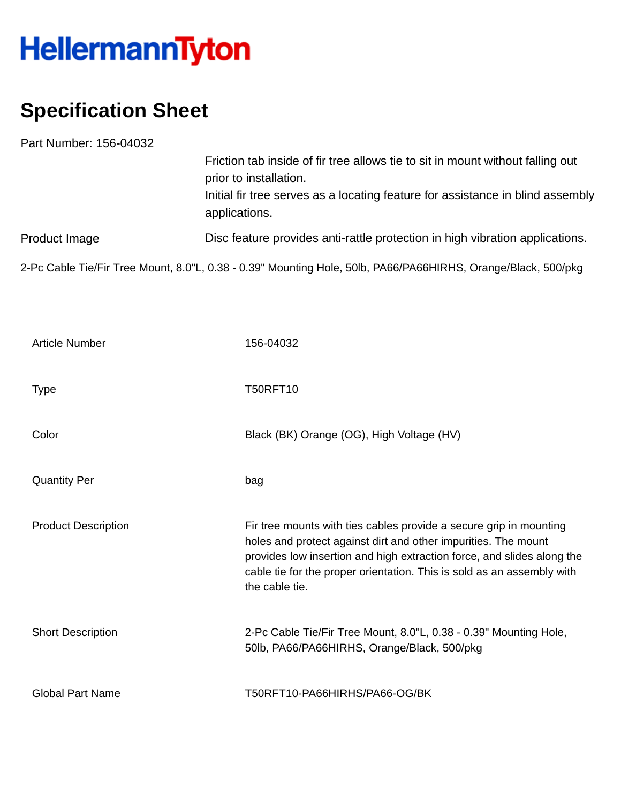## HellermannTyton

## **Specification Sheet**

| Part Number: 156-04032 |                                                                                                               |
|------------------------|---------------------------------------------------------------------------------------------------------------|
|                        | Friction tab inside of fir tree allows tie to sit in mount without falling out<br>prior to installation.      |
|                        | Initial fir tree serves as a locating feature for assistance in blind assembly<br>applications.               |
| Product Image          | Disc feature provides anti-rattle protection in high vibration applications.                                  |
|                        | 2-Pc Cable Tie/Fir Tree Mount, 8.0"L, 0.38 - 0.39" Mounting Hole, 50lb, PA66/PA66HIRHS, Orange/Black, 500/pkg |

| <b>Article Number</b>      | 156-04032                                                                                                                                                                                                                                                                                                  |
|----------------------------|------------------------------------------------------------------------------------------------------------------------------------------------------------------------------------------------------------------------------------------------------------------------------------------------------------|
| <b>Type</b>                | <b>T50RFT10</b>                                                                                                                                                                                                                                                                                            |
| Color                      | Black (BK) Orange (OG), High Voltage (HV)                                                                                                                                                                                                                                                                  |
| <b>Quantity Per</b>        | bag                                                                                                                                                                                                                                                                                                        |
| <b>Product Description</b> | Fir tree mounts with ties cables provide a secure grip in mounting<br>holes and protect against dirt and other impurities. The mount<br>provides low insertion and high extraction force, and slides along the<br>cable tie for the proper orientation. This is sold as an assembly with<br>the cable tie. |
| <b>Short Description</b>   | 2-Pc Cable Tie/Fir Tree Mount, 8.0"L, 0.38 - 0.39" Mounting Hole,<br>50lb, PA66/PA66HIRHS, Orange/Black, 500/pkg                                                                                                                                                                                           |
| <b>Global Part Name</b>    | T50RFT10-PA66HIRHS/PA66-OG/BK                                                                                                                                                                                                                                                                              |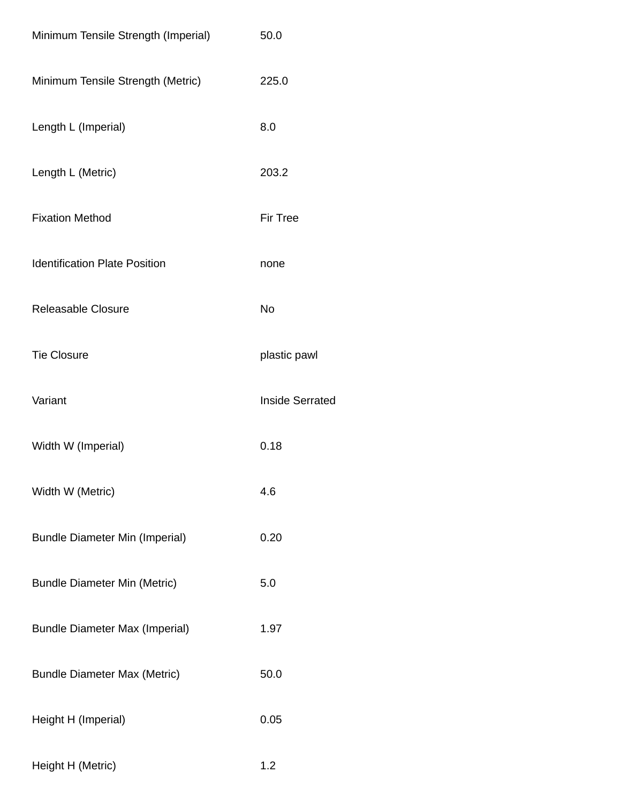| Minimum Tensile Strength (Imperial)   | 50.0                   |
|---------------------------------------|------------------------|
| Minimum Tensile Strength (Metric)     | 225.0                  |
| Length L (Imperial)                   | 8.0                    |
| Length L (Metric)                     | 203.2                  |
| <b>Fixation Method</b>                | Fir Tree               |
| <b>Identification Plate Position</b>  | none                   |
| Releasable Closure                    | No                     |
| <b>Tie Closure</b>                    | plastic pawl           |
| Variant                               | <b>Inside Serrated</b> |
| Width W (Imperial)                    | 0.18                   |
| Width W (Metric)                      | 4.6                    |
| <b>Bundle Diameter Min (Imperial)</b> | 0.20                   |
| <b>Bundle Diameter Min (Metric)</b>   | 5.0                    |
| <b>Bundle Diameter Max (Imperial)</b> | 1.97                   |
| <b>Bundle Diameter Max (Metric)</b>   | 50.0                   |
| Height H (Imperial)                   | 0.05                   |
| Height H (Metric)                     | 1.2                    |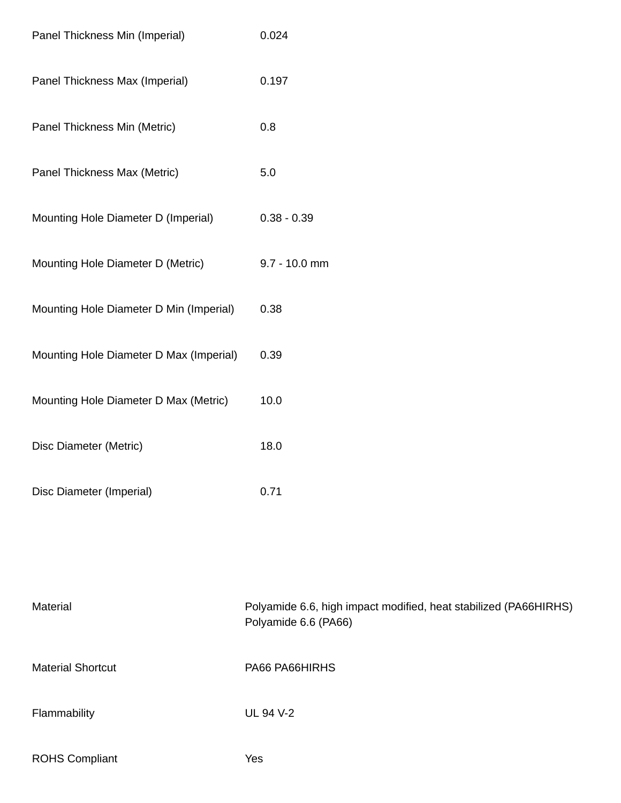| Panel Thickness Min (Imperial)          | 0.024         |
|-----------------------------------------|---------------|
| Panel Thickness Max (Imperial)          | 0.197         |
| Panel Thickness Min (Metric)            | 0.8           |
| Panel Thickness Max (Metric)            | 5.0           |
| Mounting Hole Diameter D (Imperial)     | $0.38 - 0.39$ |
| Mounting Hole Diameter D (Metric)       | 9.7 - 10.0 mm |
| Mounting Hole Diameter D Min (Imperial) | 0.38          |
| Mounting Hole Diameter D Max (Imperial) | 0.39          |
| Mounting Hole Diameter D Max (Metric)   | 10.0          |
| Disc Diameter (Metric)                  | 18.0          |
| Disc Diameter (Imperial)                | 0.71          |

| <b>Material</b>          | Polyamide 6.6, high impact modified, heat stabilized (PA66HIRHS)<br>Polyamide 6.6 (PA66) |
|--------------------------|------------------------------------------------------------------------------------------|
| <b>Material Shortcut</b> | PA66 PA66HIRHS                                                                           |
| Flammability             | <b>UL 94 V-2</b>                                                                         |
| <b>ROHS Compliant</b>    | Yes                                                                                      |